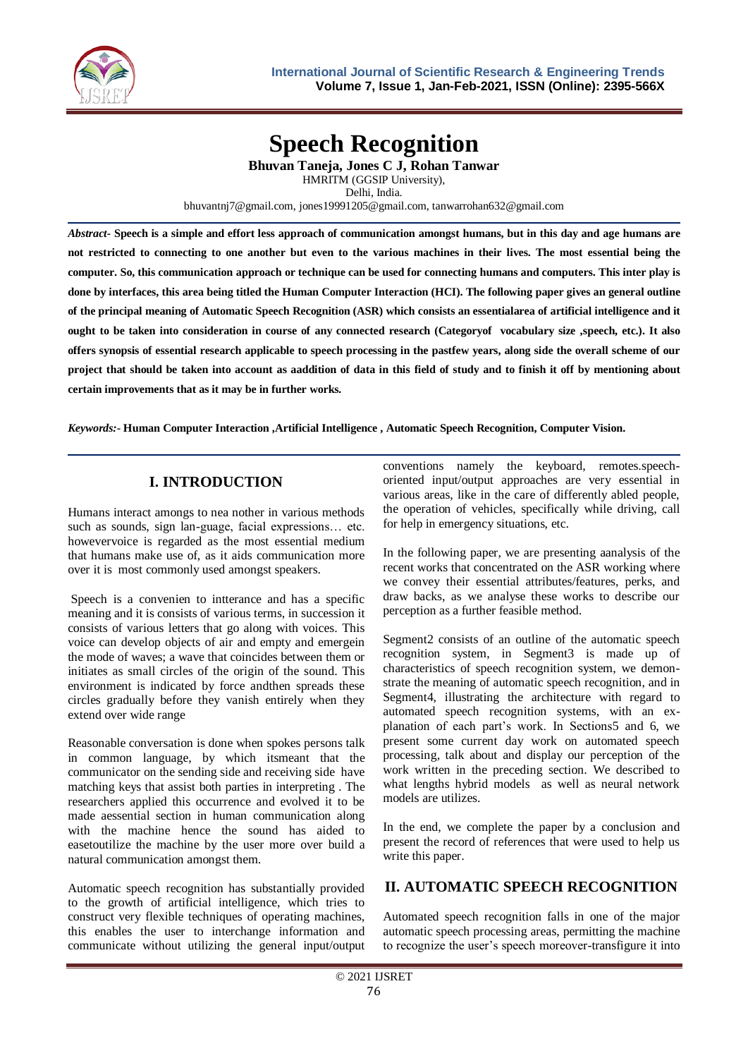

# **Speech Recognition**

**Bhuvan Taneja, Jones C J, Rohan Tanwar** HMRITM (GGSIP University), Delhi, India.

bhuvantnj7@gmail.com, jones19991205@gmail.com, tanwarrohan632@gmail.com

*Abstract-* **Speech is a simple and effort less approach of communication amongst humans, but in this day and age humans are not restricted to connecting to one another but even to the various machines in their lives. The most essential being the computer. So, this communication approach or technique can be used for connecting humans and computers. This inter play is done by interfaces, this area being titled the Human Computer Interaction (HCI). The following paper gives an general outline of the principal meaning of Automatic Speech Recognition (ASR) which consists an essentialarea of artificial intelligence and it ought to be taken into consideration in course of any connected research (Categoryof vocabulary size ,speech, etc.). It also offers synopsis of essential research applicable to speech processing in the pastfew years, along side the overall scheme of our project that should be taken into account as aaddition of data in this field of study and to finish it off by mentioning about certain improvements that as it may be in further works***.*

*Keywords:***- Human Computer Interaction ,Artificial Intelligence , Automatic Speech Recognition, Computer Vision.**

# **I. INTRODUCTION**

Humans interact amongs to nea nother in various methods such as sounds, sign lan-guage, facial expressions… etc. howevervoice is regarded as the most essential medium that humans make use of, as it aids communication more over it is most commonly used amongst speakers.

Speech is a convenien to intterance and has a specific meaning and it is consists of various terms, in succession it consists of various letters that go along with voices. This voice can develop objects of air and empty and emergein the mode of waves; a wave that coincides between them or initiates as small circles of the origin of the sound. This environment is indicated by force andthen spreads these circles gradually before they vanish entirely when they extend over wide range

Reasonable conversation is done when spokes persons talk in common language, by which itsmeant that the communicator on the sending side and receiving side have matching keys that assist both parties in interpreting . The researchers applied this occurrence and evolved it to be made aessential section in human communication along with the machine hence the sound has aided to easetoutilize the machine by the user more over build a natural communication amongst them.

Automatic speech recognition has substantially provided to the growth of artificial intelligence, which tries to construct very flexible techniques of operating machines, this enables the user to interchange information and communicate without utilizing the general input/output conventions namely the keyboard, remotes.speechoriented input/output approaches are very essential in various areas, like in the care of differently abled people, the operation of vehicles, specifically while driving, call for help in emergency situations, etc.

In the following paper, we are presenting aanalysis of the recent works that concentrated on the ASR working where we convey their essential attributes/features, perks, and draw backs, as we analyse these works to describe our perception as a further feasible method.

Segment2 consists of an outline of the automatic speech recognition system, in Segment3 is made up of characteristics of speech recognition system, we demonstrate the meaning of automatic speech recognition, and in Segment4, illustrating the architecture with regard to automated speech recognition systems, with an explanation of each part's work. In Sections5 and 6, we present some current day work on automated speech processing, talk about and display our perception of the work written in the preceding section. We described to what lengths hybrid models as well as neural network models are utilizes.

In the end, we complete the paper by a conclusion and present the record of references that were used to help us write this paper.

# **II. AUTOMATIC SPEECH RECOGNITION**

Automated speech recognition falls in one of the major automatic speech processing areas, permitting the machine to recognize the user's speech moreover-transfigure it into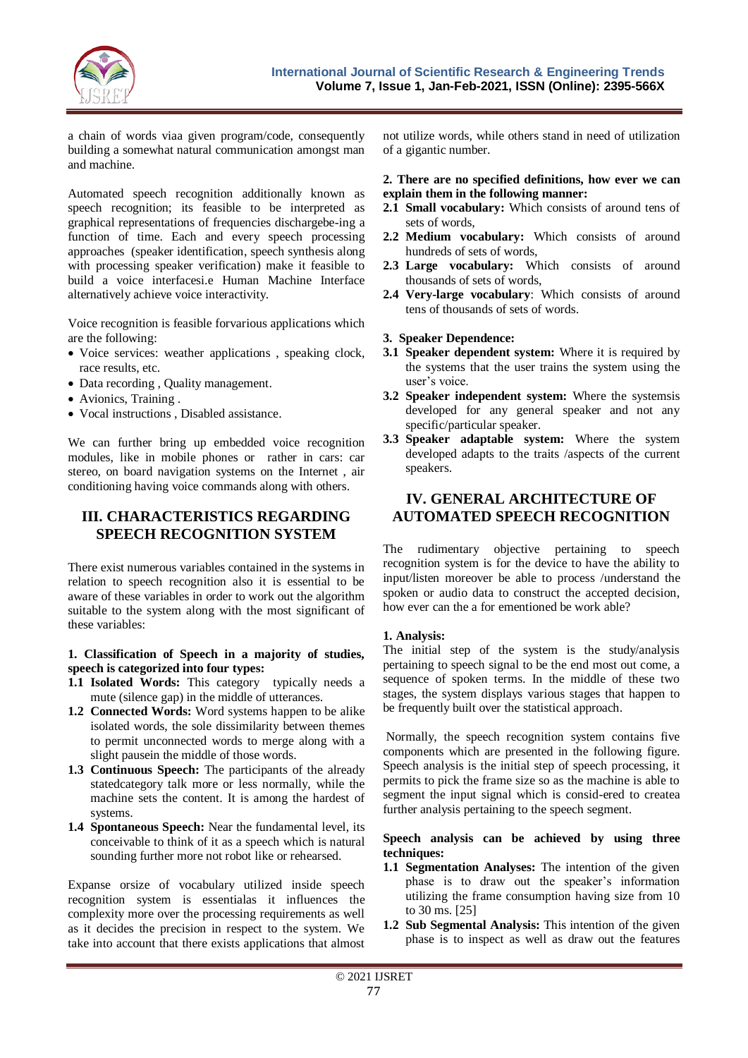

a chain of words viaa given program/code, consequently building a somewhat natural communication amongst man and machine.

Automated speech recognition additionally known as speech recognition; its feasible to be interpreted as graphical representations of frequencies dischargebe-ing a function of time. Each and every speech processing approaches (speaker identification, speech synthesis along with processing speaker verification) make it feasible to build a voice interfacesi.e Human Machine Interface alternatively achieve voice interactivity.

Voice recognition is feasible forvarious applications which are the following:

- Voice services: weather applications, speaking clock, race results, etc.
- Data recording , Quality management.
- Avionics, Training .
- Vocal instructions , Disabled assistance.

We can further bring up embedded voice recognition modules, like in mobile phones or rather in cars: car stereo, on board navigation systems on the Internet , air conditioning having voice commands along with others.

## **III. CHARACTERISTICS REGARDING SPEECH RECOGNITION SYSTEM**

There exist numerous variables contained in the systems in relation to speech recognition also it is essential to be aware of these variables in order to work out the algorithm suitable to the system along with the most significant of these variables:

#### **1. Classification of Speech in a majority of studies, speech is categorized into four types:**

- **1.1 Isolated Words:** This category typically needs a mute (silence gap) in the middle of utterances.
- **1.2 Connected Words:** Word systems happen to be alike isolated words, the sole dissimilarity between themes to permit unconnected words to merge along with a slight pausein the middle of those words.
- **1.3 Continuous Speech:** The participants of the already statedcategory talk more or less normally, while the machine sets the content. It is among the hardest of systems.
- **1.4 Spontaneous Speech:** Near the fundamental level, its conceivable to think of it as a speech which is natural sounding further more not robot like or rehearsed.

Expanse orsize of vocabulary utilized inside speech recognition system is essentialas it influences the complexity more over the processing requirements as well as it decides the precision in respect to the system. We take into account that there exists applications that almost

not utilize words, while others stand in need of utilization of a gigantic number.

#### **2. There are no specified definitions, how ever we can explain them in the following manner:**

- **2.1 Small vocabulary:** Which consists of around tens of sets of words,
- **2.2 Medium vocabulary:** Which consists of around hundreds of sets of words,
- **2.3 Large vocabulary:** Which consists of around thousands of sets of words,
- **2.4 Very-large vocabulary**: Which consists of around tens of thousands of sets of words.

#### **3. Speaker Dependence:**

- **3.1 Speaker dependent system:** Where it is required by the systems that the user trains the system using the user's voice.
- **3.2 Speaker independent system:** Where the systemsis developed for any general speaker and not any specific/particular speaker.
- **3.3 Speaker adaptable system:** Where the system developed adapts to the traits /aspects of the current speakers.

### **IV. GENERAL ARCHITECTURE OF AUTOMATED SPEECH RECOGNITION**

The rudimentary objective pertaining to speech recognition system is for the device to have the ability to input/listen moreover be able to process /understand the spoken or audio data to construct the accepted decision, how ever can the a for ementioned be work able?

#### **1. Analysis:**

The initial step of the system is the study/analysis pertaining to speech signal to be the end most out come, a sequence of spoken terms. In the middle of these two stages, the system displays various stages that happen to be frequently built over the statistical approach.

Normally, the speech recognition system contains five components which are presented in the following figure. Speech analysis is the initial step of speech processing, it permits to pick the frame size so as the machine is able to segment the input signal which is consid-ered to createa further analysis pertaining to the speech segment.

#### **Speech analysis can be achieved by using three techniques:**

- **1.1 Segmentation Analyses:** The intention of the given phase is to draw out the speaker's information utilizing the frame consumption having size from 10 to 30 ms. [25]
- **1.2 Sub Segmental Analysis:** This intention of the given phase is to inspect as well as draw out the features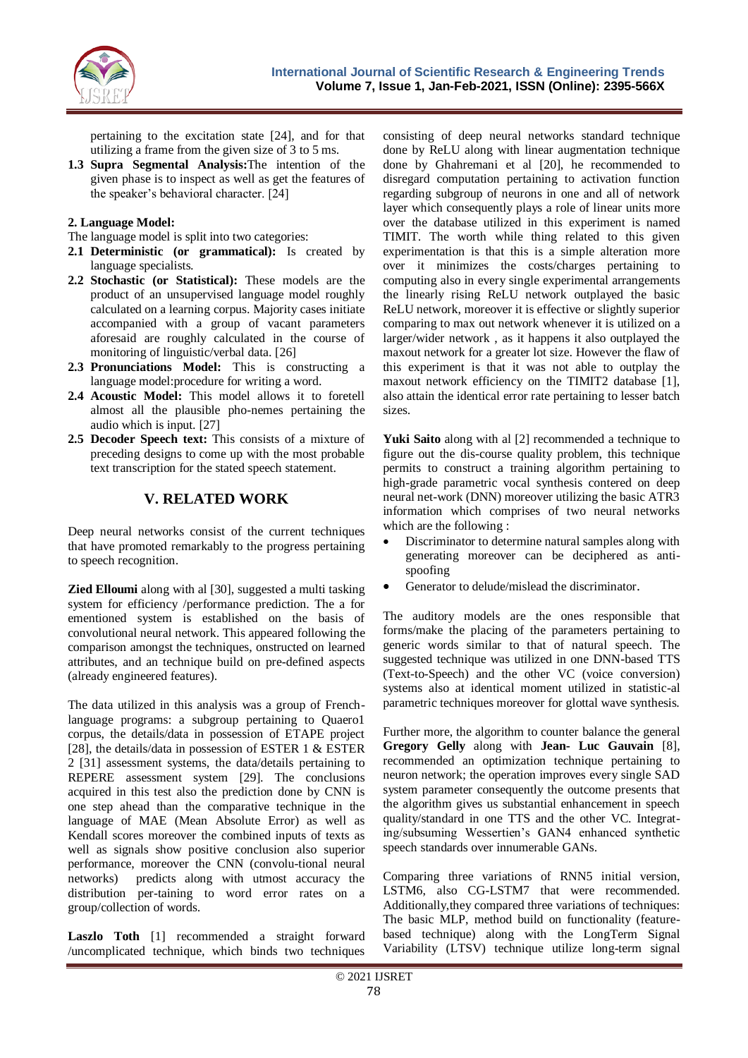

pertaining to the excitation state [24], and for that utilizing a frame from the given size of 3 to 5 ms.

**1.3 Supra Segmental Analysis:**The intention of the given phase is to inspect as well as get the features of the speaker's behavioral character. [24]

#### **2. Language Model:**

- The language model is split into two categories:
- **2.1 Deterministic (or grammatical):** Is created by language specialists.
- **2.2 Stochastic (or Statistical):** These models are the product of an unsupervised language model roughly calculated on a learning corpus. Majority cases initiate accompanied with a group of vacant parameters aforesaid are roughly calculated in the course of monitoring of linguistic/verbal data. [26]
- **2.3 Pronunciations Model:** This is constructing a language model:procedure for writing a word.
- **2.4 Acoustic Model:** This model allows it to foretell almost all the plausible pho-nemes pertaining the audio which is input. [27]
- **2.5 Decoder Speech text:** This consists of a mixture of preceding designs to come up with the most probable text transcription for the stated speech statement.

## **V. RELATED WORK**

Deep neural networks consist of the current techniques that have promoted remarkably to the progress pertaining to speech recognition.

**Zied Elloumi** along with al [30], suggested a multi tasking system for efficiency /performance prediction. The a for ementioned system is established on the basis of convolutional neural network. This appeared following the comparison amongst the techniques, onstructed on learned attributes, and an technique build on pre-defined aspects (already engineered features).

The data utilized in this analysis was a group of Frenchlanguage programs: a subgroup pertaining to Quaero1 corpus, the details/data in possession of ETAPE project [28], the details/data in possession of ESTER 1 & ESTER 2 [31] assessment systems, the data/details pertaining to REPERE assessment system [29]. The conclusions acquired in this test also the prediction done by CNN is one step ahead than the comparative technique in the language of MAE (Mean Absolute Error) as well as Kendall scores moreover the combined inputs of texts as well as signals show positive conclusion also superior performance, moreover the CNN (convolu-tional neural networks) predicts along with utmost accuracy the distribution per-taining to word error rates on a group/collection of words.

**Laszlo Toth** [1] recommended a straight forward /uncomplicated technique, which binds two techniques

consisting of deep neural networks standard technique done by ReLU along with linear augmentation technique done by Ghahremani et al [20], he recommended to disregard computation pertaining to activation function regarding subgroup of neurons in one and all of network layer which consequently plays a role of linear units more over the database utilized in this experiment is named TIMIT. The worth while thing related to this given experimentation is that this is a simple alteration more over it minimizes the costs/charges pertaining to computing also in every single experimental arrangements the linearly rising ReLU network outplayed the basic ReLU network, moreover it is effective or slightly superior comparing to max out network whenever it is utilized on a larger/wider network , as it happens it also outplayed the maxout network for a greater lot size. However the flaw of this experiment is that it was not able to outplay the maxout network efficiency on the TIMIT2 database [1], also attain the identical error rate pertaining to lesser batch sizes.

**Yuki Saito** along with al [2] recommended a technique to figure out the dis-course quality problem, this technique permits to construct a training algorithm pertaining to high-grade parametric vocal synthesis contered on deep neural net-work (DNN) moreover utilizing the basic ATR3 information which comprises of two neural networks which are the following :

- Discriminator to determine natural samples along with generating moreover can be deciphered as antispoofing
- Generator to delude/mislead the discriminator.

The auditory models are the ones responsible that forms/make the placing of the parameters pertaining to generic words similar to that of natural speech. The suggested technique was utilized in one DNN-based TTS (Text-to-Speech) and the other VC (voice conversion) systems also at identical moment utilized in statistic-al parametric techniques moreover for glottal wave synthesis.

Further more, the algorithm to counter balance the general **Gregory Gelly** along with **Jean- Luc Gauvain** [8], recommended an optimization technique pertaining to neuron network; the operation improves every single SAD system parameter consequently the outcome presents that the algorithm gives us substantial enhancement in speech quality/standard in one TTS and the other VC. Integrating/subsuming Wessertien's GAN4 enhanced synthetic speech standards over innumerable GANs.

Comparing three variations of RNN5 initial version, LSTM6, also CG-LSTM7 that were recommended. Additionally,they compared three variations of techniques: The basic MLP, method build on functionality (featurebased technique) along with the LongTerm Signal Variability (LTSV) technique utilize long-term signal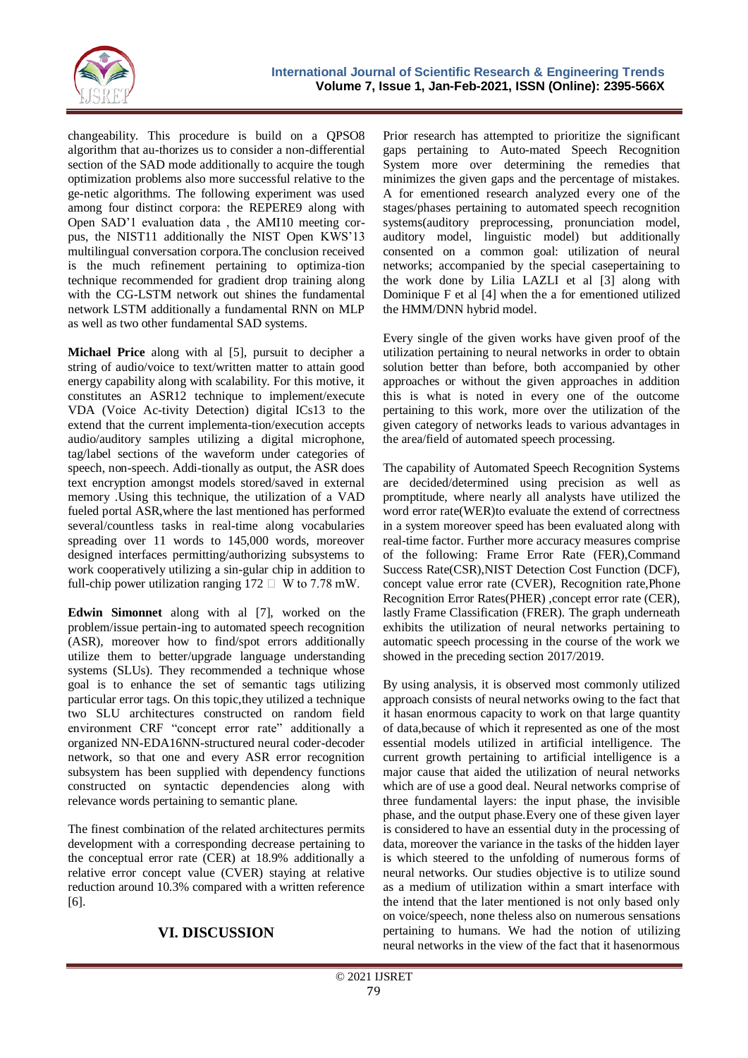

changeability. This procedure is build on a QPSO8 algorithm that au-thorizes us to consider a non-differential section of the SAD mode additionally to acquire the tough optimization problems also more successful relative to the ge-netic algorithms. The following experiment was used among four distinct corpora: the REPERE9 along with Open SAD'1 evaluation data , the AMI10 meeting corpus, the NIST11 additionally the NIST Open KWS'13 multilingual conversation corpora.The conclusion received is the much refinement pertaining to optimiza-tion technique recommended for gradient drop training along with the CG-LSTM network out shines the fundamental network LSTM additionally a fundamental RNN on MLP as well as two other fundamental SAD systems.

**Michael Price** along with al [5], pursuit to decipher a string of audio/voice to text/written matter to attain good energy capability along with scalability. For this motive, it constitutes an ASR12 technique to implement/execute VDA (Voice Ac-tivity Detection) digital ICs13 to the extend that the current implementa-tion/execution accepts audio/auditory samples utilizing a digital microphone, tag/label sections of the waveform under categories of speech, non-speech. Addi-tionally as output, the ASR does text encryption amongst models stored/saved in external memory .Using this technique, the utilization of a VAD fueled portal ASR,where the last mentioned has performed several/countless tasks in real-time along vocabularies spreading over 11 words to 145,000 words, moreover designed interfaces permitting/authorizing subsystems to work cooperatively utilizing a sin-gular chip in addition to full-chip power utilization ranging  $172 \square$  W to 7.78 mW.

**Edwin Simonnet** along with al [7], worked on the problem/issue pertain-ing to automated speech recognition (ASR), moreover how to find/spot errors additionally utilize them to better/upgrade language understanding systems (SLUs). They recommended a technique whose goal is to enhance the set of semantic tags utilizing particular error tags. On this topic,they utilized a technique two SLU architectures constructed on random field environment CRF "concept error rate" additionally a organized NN-EDA16NN-structured neural coder-decoder network, so that one and every ASR error recognition subsystem has been supplied with dependency functions constructed on syntactic dependencies along with relevance words pertaining to semantic plane.

The finest combination of the related architectures permits development with a corresponding decrease pertaining to the conceptual error rate (CER) at 18.9% additionally a relative error concept value (CVER) staying at relative reduction around 10.3% compared with a written reference [6].

# **VI. DISCUSSION**

Prior research has attempted to prioritize the significant gaps pertaining to Auto-mated Speech Recognition System more over determining the remedies that minimizes the given gaps and the percentage of mistakes. A for ementioned research analyzed every one of the stages/phases pertaining to automated speech recognition systems(auditory preprocessing, pronunciation model, auditory model, linguistic model) but additionally consented on a common goal: utilization of neural networks; accompanied by the special casepertaining to the work done by Lilia LAZLI et al [3] along with Dominique F et al [4] when the a for ementioned utilized the HMM/DNN hybrid model.

Every single of the given works have given proof of the utilization pertaining to neural networks in order to obtain solution better than before, both accompanied by other approaches or without the given approaches in addition this is what is noted in every one of the outcome pertaining to this work, more over the utilization of the given category of networks leads to various advantages in the area/field of automated speech processing.

The capability of Automated Speech Recognition Systems are decided/determined using precision as well as promptitude, where nearly all analysts have utilized the word error rate(WER)to evaluate the extend of correctness in a system moreover speed has been evaluated along with real-time factor. Further more accuracy measures comprise of the following: Frame Error Rate (FER),Command Success Rate(CSR),NIST Detection Cost Function (DCF), concept value error rate (CVER), Recognition rate,Phone Recognition Error Rates(PHER), concept error rate (CER), lastly Frame Classification (FRER). The graph underneath exhibits the utilization of neural networks pertaining to automatic speech processing in the course of the work we showed in the preceding section 2017/2019.

By using analysis, it is observed most commonly utilized approach consists of neural networks owing to the fact that it hasan enormous capacity to work on that large quantity of data,because of which it represented as one of the most essential models utilized in artificial intelligence. The current growth pertaining to artificial intelligence is a major cause that aided the utilization of neural networks which are of use a good deal. Neural networks comprise of three fundamental layers: the input phase, the invisible phase, and the output phase.Every one of these given layer is considered to have an essential duty in the processing of data, moreover the variance in the tasks of the hidden layer is which steered to the unfolding of numerous forms of neural networks. Our studies objective is to utilize sound as a medium of utilization within a smart interface with the intend that the later mentioned is not only based only on voice/speech, none theless also on numerous sensations pertaining to humans. We had the notion of utilizing neural networks in the view of the fact that it hasenormous